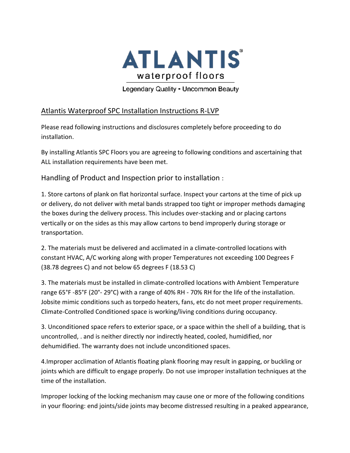

Legendary Quality - Uncommon Beauty

## Atlantis Waterproof SPC Installation Instructions R-LVP

Please read following instructions and disclosures completely before proceeding to do installation.

By installing Atlantis SPC Floors you are agreeing to following conditions and ascertaining that ALL installation requirements have been met.

Handling of Product and Inspection prior to installation :

1. Store cartons of plank on flat horizontal surface. Inspect your cartons at the time of pick up or delivery, do not deliver with metal bands strapped too tight or improper methods damaging the boxes during the delivery process. This includes over-stacking and or placing cartons vertically or on the sides as this may allow cartons to bend improperly during storage or transportation.

2. The materials must be delivered and acclimated in a climate-controlled locations with constant HVAC, A/C working along with proper Temperatures not exceeding 100 Degrees F (38.78 degrees C) and not below 65 degrees F (18.53 C)

3. The materials must be installed in climate-controlled locations with Ambient Temperature range 65°F -85°F (20°- 29°C) with a range of 40% RH - 70% RH for the life of the installation. Jobsite mimic conditions such as torpedo heaters, fans, etc do not meet proper requirements. Climate-Controlled Conditioned space is working/living conditions during occupancy.

3. Unconditioned space refers to exterior space, or a space within the shell of a building, that is uncontrolled, . and is neither directly nor indirectly heated, cooled, humidified, nor dehumidified. The warranty does not include unconditioned spaces.

4.Improper acclimation of Atlantis floating plank flooring may result in gapping, or buckling or joints which are difficult to engage properly. Do not use improper installation techniques at the time of the installation.

Improper locking of the locking mechanism may cause one or more of the following conditions in your flooring: end joints/side joints may become distressed resulting in a peaked appearance,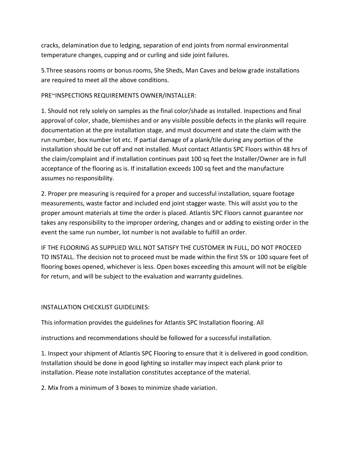cracks, delamination due to ledging, separation of end joints from normal environmental temperature changes, cupping and or curling and side joint failures.

5.Three seasons rooms or bonus rooms, She Sheds, Man Caves and below grade installations are required to meet all the above conditions.

## PRE~INSPECTIONS REQUIREMENTS OWNER/INSTALLER:

1. Should not rely solely on samples as the final color/shade as installed. Inspections and final approval of color, shade, blemishes and or any visible possible defects in the planks will require documentation at the pre installation stage, and must document and state the claim with the run number, box number lot etc. If partial damage of a plank/tile during any portion of the installation should be cut off and not installed. Must contact Atlantis SPC Floors within 48 hrs of the claim/complaint and if installation continues past 100 sq feet the Installer/Owner are in full acceptance of the flooring as is. If installation exceeds 100 sq feet and the manufacture assumes no responsibility.

2. Proper pre measuring is required for a proper and successful installation, square footage measurements, waste factor and included end joint stagger waste. This will assist you to the proper amount materials at time the order is placed. Atlantis SPC Floors cannot guarantee nor takes any responsibility to the improper ordering, changes and or adding to existing order in the event the same run number, lot number is not available to fulfill an order.

IF THE FLOORING AS SUPPLIED WILL NOT SATISFY THE CUSTOMER IN FULL, DO NOT PROCEED TO INSTALL. The decision not to proceed must be made within the first 5% or 100 square feet of flooring boxes opened, whichever is less. Open boxes exceeding this amount will not be eligible for return, and will be subject to the evaluation and warranty guidelines.

## INSTALLATION CHECKLIST GUIDELINES:

This information provides the guidelines for Atlantis SPC Installation flooring. All

instructions and recommendations should be followed for a successful installation.

1. Inspect your shipment of Atlantis SPC Flooring to ensure that it is delivered in good condition. Installation should be done in good lighting so installer may inspect each plank prior to installation. Please note installation constitutes acceptance of the material.

2. Mix from a minimum of 3 boxes to minimize shade variation.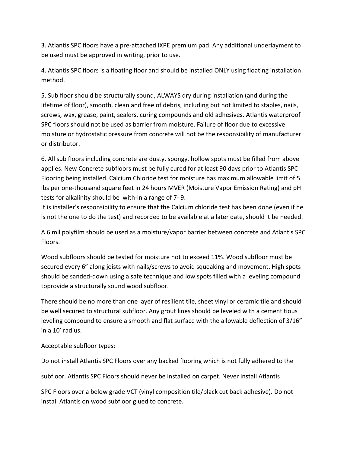3. Atlantis SPC floors have a pre-attached IXPE premium pad. Any additional underlayment to be used must be approved in writing, prior to use.

4. Atlantis SPC floors is a floating floor and should be installed ONLY using floating installation method.

5. Sub floor should be structurally sound, ALWAYS dry during installation (and during the lifetime of floor), smooth, clean and free of debris, including but not limited to staples, nails, screws, wax, grease, paint, sealers, curing compounds and old adhesives. Atlantis waterproof SPC floors should not be used as barrier from moisture. Failure of floor due to excessive moisture or hydrostatic pressure from concrete will not be the responsibility of manufacturer or distributor.

6. All sub floors including concrete are dusty, spongy, hollow spots must be filled from above applies. New Concrete subfloors must be fully cured for at least 90 days prior to Atlantis SPC Flooring being installed. Calcium Chloride test for moisture has maximum allowable limit of 5 lbs per one-thousand square feet in 24 hours MVER (Moisture Vapor Emission Rating) and pH tests for alkalinity should be with-in a range of 7- 9.

It is installer's responsibility to ensure that the Calcium chloride test has been done (even if he is not the one to do the test) and recorded to be available at a later date, should it be needed.

A 6 mil polyfilm should be used as a moisture/vapor barrier between concrete and Atlantis SPC Floors.

Wood subfloors should be tested for moisture not to exceed 11%. Wood subfloor must be secured every 6" along joists with nails/screws to avoid squeaking and movement. High spots should be sanded-down using a safe technique and low spots filled with a leveling compound toprovide a structurally sound wood subfloor.

There should be no more than one layer of resilient tile, sheet vinyl or ceramic tile and should be well secured to structural subfloor. Any grout lines should be leveled with a cementitious leveling compound to ensure a smooth and flat surface with the allowable deflection of 3/16" in a 10' radius.

Acceptable subfloor types:

Do not install Atlantis SPC Floors over any backed flooring which is not fully adhered to the

subfloor. Atlantis SPC Floors should never be installed on carpet. Never install Atlantis

SPC Floors over a below grade VCT (vinyl composition tile/black cut back adhesive). Do not install Atlantis on wood subfloor glued to concrete.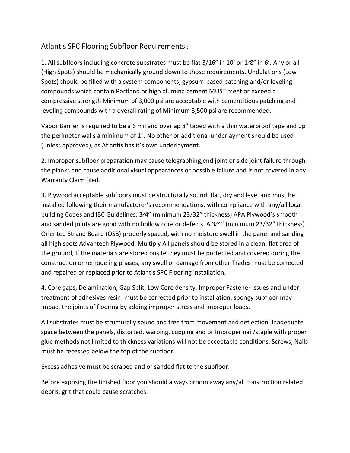## Atlantis SPC Flooring Subfloor Requirements :

1. All subfloors including concrete substrates must be flat 3/16" in 10' or 1⁄8" in 6'. Any or all (High Spots) should be mechanically ground down to those requirements. Undulations (Low Spots) should be filled with a system components, gypsum-based patching and/or leveling compounds which contain Portland or high alumina cement MUST meet or exceed a compressive strength Minimum of 3,000 psi are acceptable with cementitious patching and leveling compounds with a overall rating of Minimum 3,500 psi are recommended.

Vapor Barrier is required to be a 6 mil and overlap 8" taped with a thin waterproof tape and up the perimeter walls a minimum of 1". No other or additional underlayment should be used (unless approved), as Atlantis has it's own underlayment.

2. Improper subfloor preparation may cause telegraphing,end joint or side joint failure through the planks and cause additional visual appearances or possible failure and is not covered in any Warranty Claim filed.

3. Plywood acceptable subfloors must be structurally sound, flat, dry and level and must be installed following their manufacturer's recommendations, with compliance with any/all local building Codes and IBC Guidelines: 3⁄4" (minimum 23/32" thickness) APA Plywood's smooth and sanded joints are good with no hollow core or defects. A 3⁄4" (minimum 23/32" thickness) Oriented Strand Board (OSB) properly spaced, with no moisture swell in the panel and sanding all high spots Advantech Plywood, Multiply All panels should be stored in a clean, flat area of the ground, If the materials are stored onsite they must be protected and covered during the construction or remodeling phases, any swell or damage from other Trades must be corrected and repaired or replaced prior to Atlantis SPC Flooring installation.

4. Core gaps, Delamination, Gap Split, Low Core density, Improper Fastener issues and under treatment of adhesives resin, must be corrected prior to installation, spongy subfloor may impact the joints of flooring by adding improper stress and improper loads.

All substrates must be structurally sound and free from movement and deflection. Inadequate space between the panels, distorted, warping, cupping and or Improper nail/staple with proper glue methods not limited to thickness variations will not be acceptable conditions. Screws, Nails must be recessed below the top of the subfloor.

Excess adhesive must be scraped and or sanded flat to the subfloor.

Before exposing the finished floor you should always broom away any/all construction related debris, grit that could cause scratches.